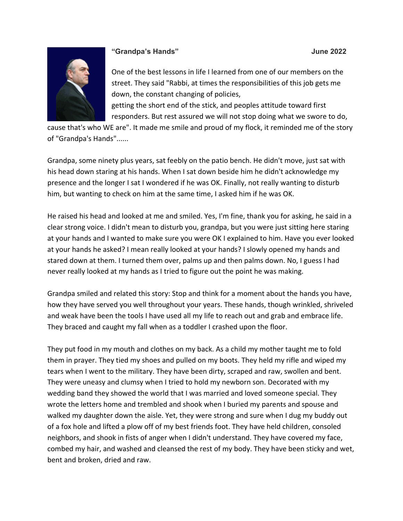

## **"Grandpa's Hands" June 2022**

One of the best lessons in life I learned from one of our members on the street. They said "Rabbi, at times the responsibilities of this job gets me down, the constant changing of policies,

getting the short end of the stick, and peoples attitude toward first responders. But rest assured we will not stop doing what we swore to do,

cause that's who WE are". It made me smile and proud of my flock, it reminded me of the story of "Grandpa's Hands"......

Grandpa, some ninety plus years, sat feebly on the patio bench. He didn't move, just sat with his head down staring at his hands. When I sat down beside him he didn't acknowledge my presence and the longer I sat I wondered if he was OK. Finally, not really wanting to disturb him, but wanting to check on him at the same time, I asked him if he was OK.

He raised his head and looked at me and smiled. Yes, I'm fine, thank you for asking, he said in a clear strong voice. I didn't mean to disturb you, grandpa, but you were just sitting here staring at your hands and I wanted to make sure you were OK I explained to him. Have you ever looked at your hands he asked? I mean really looked at your hands? I slowly opened my hands and stared down at them. I turned them over, palms up and then palms down. No, I guess I had never really looked at my hands as I tried to figure out the point he was making.

Grandpa smiled and related this story: Stop and think for a moment about the hands you have, how they have served you well throughout your years. These hands, though wrinkled, shriveled and weak have been the tools I have used all my life to reach out and grab and embrace life. They braced and caught my fall when as a toddler I crashed upon the floor.

They put food in my mouth and clothes on my back. As a child my mother taught me to fold them in prayer. They tied my shoes and pulled on my boots. They held my rifle and wiped my tears when I went to the military. They have been dirty, scraped and raw, swollen and bent. They were uneasy and clumsy when I tried to hold my newborn son. Decorated with my wedding band they showed the world that I was married and loved someone special. They wrote the letters home and trembled and shook when I buried my parents and spouse and walked my daughter down the aisle. Yet, they were strong and sure when I dug my buddy out of a fox hole and lifted a plow off of my best friends foot. They have held children, consoled neighbors, and shook in fists of anger when I didn't understand. They have covered my face, combed my hair, and washed and cleansed the rest of my body. They have been sticky and wet, bent and broken, dried and raw.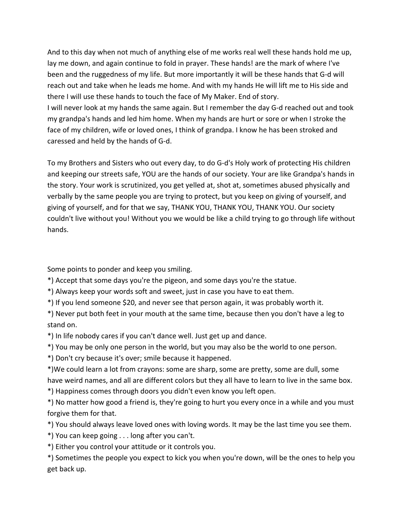And to this day when not much of anything else of me works real well these hands hold me up, lay me down, and again continue to fold in prayer. These hands! are the mark of where I've been and the ruggedness of my life. But more importantly it will be these hands that G-d will reach out and take when he leads me home. And with my hands He will lift me to His side and there I will use these hands to touch the face of My Maker. End of story.

I will never look at my hands the same again. But I remember the day G-d reached out and took my grandpa's hands and led him home. When my hands are hurt or sore or when I stroke the face of my children, wife or loved ones, I think of grandpa. I know he has been stroked and caressed and held by the hands of G-d.

To my Brothers and Sisters who out every day, to do G-d's Holy work of protecting His children and keeping our streets safe, YOU are the hands of our society. Your are like Grandpa's hands in the story. Your work is scrutinized, you get yelled at, shot at, sometimes abused physically and verbally by the same people you are trying to protect, but you keep on giving of yourself, and giving of yourself, and for that we say, THANK YOU, THANK YOU, THANK YOU. Our society couldn't live without you! Without you we would be like a child trying to go through life without hands.

Some points to ponder and keep you smiling.

- \*) Accept that some days you're the pigeon, and some days you're the statue.
- \*) Always keep your words soft and sweet, just in case you have to eat them.
- \*) If you lend someone \$20, and never see that person again, it was probably worth it.

\*) Never put both feet in your mouth at the same time, because then you don't have a leg to stand on.

\*) In life nobody cares if you can't dance well. Just get up and dance.

\*) You may be only one person in the world, but you may also be the world to one person.

\*) Don't cry because it's over; smile because it happened.

\*)We could learn a lot from crayons: some are sharp, some are pretty, some are dull, some have weird names, and all are different colors but they all have to learn to live in the same box. \*) Happiness comes through doors you didn't even know you left open.

\*) No matter how good a friend is, they're going to hurt you every once in a while and you must forgive them for that.

\*) You should always leave loved ones with loving words. It may be the last time you see them.

\*) You can keep going . . . long after you can't.

\*) Either you control your attitude or it controls you.

\*) Sometimes the people you expect to kick you when you're down, will be the ones to help you get back up.